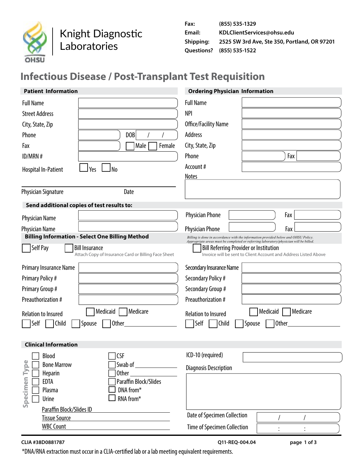

Knight Diagnostic Laboratories

| Fax:      | (855) 535-1329                               |
|-----------|----------------------------------------------|
| Email:    | KDLClientServices@ohsu.edu                   |
| Shipping: | 2525 SW 3rd Ave, Ste 350, Portland, OR 97201 |
|           | <b>Ouestions?</b> (855) 535-1522             |

# **Infectious Disease / Post‐Transplant Test Requisition**

| <b>Patient Information</b>                                                                                                                                                                                                                                                                                                                                                           | <b>Ordering Physician Information</b>                                                                                                                                                                                                                                                                                                                                                                                                                                                                                                                           |  |  |  |  |
|--------------------------------------------------------------------------------------------------------------------------------------------------------------------------------------------------------------------------------------------------------------------------------------------------------------------------------------------------------------------------------------|-----------------------------------------------------------------------------------------------------------------------------------------------------------------------------------------------------------------------------------------------------------------------------------------------------------------------------------------------------------------------------------------------------------------------------------------------------------------------------------------------------------------------------------------------------------------|--|--|--|--|
| <b>Full Name</b><br><b>Street Address</b><br>City, State, Zip<br>DOB<br>Phone<br>Male<br>Female<br>Fax<br>ID/MRN #<br>Yes<br>J No<br><b>Hospital In-Patient</b>                                                                                                                                                                                                                      | <b>Full Name</b><br><b>NPI</b><br>Office/Facility Name<br>Address<br>City, State, Zip<br>Fax<br>Phone<br>Account #<br><b>Notes</b>                                                                                                                                                                                                                                                                                                                                                                                                                              |  |  |  |  |
| <b>Physician Signature</b><br>Date                                                                                                                                                                                                                                                                                                                                                   |                                                                                                                                                                                                                                                                                                                                                                                                                                                                                                                                                                 |  |  |  |  |
| Send additional copies of test results to:                                                                                                                                                                                                                                                                                                                                           |                                                                                                                                                                                                                                                                                                                                                                                                                                                                                                                                                                 |  |  |  |  |
| Physician Name<br>Physician Name<br><b>Billing Information - Select One Billing Method</b><br>Self Pay<br><b>Bill Insurance</b><br>Attach Copy of Insurance Card or Billing Face Sheet<br>Primary Insurance Name<br><b>Primary Policy#</b><br>Primary Group #<br>Preauthorization #<br>Medicaid<br>Medicare<br><b>Relation to Insured</b><br>Self<br>Child<br>Spouse<br><b>Other</b> | <b>Physician Phone</b><br>Fax<br><b>Physician Phone</b><br>Fax<br>Billing is done in accordance with the information provided below and OHSU Policy.<br>Appropriate areas must be completed or referring laboratory/physician will be billed.<br><b>Bill Referring Provider or Institution</b><br>Invoice will be sent to Client Account and Address Listed Above<br>Secondary Insurance Name<br>Secondary Policy #<br>Secondary Group #<br>Preauthorization #<br>Medicare<br>Medicaid<br><b>Relation to Insured</b><br>Self<br>Spouse<br><b>Other</b><br>Child |  |  |  |  |
| <b>Clinical Information</b>                                                                                                                                                                                                                                                                                                                                                          |                                                                                                                                                                                                                                                                                                                                                                                                                                                                                                                                                                 |  |  |  |  |
| $\Box$ CSF<br>$\Box$ Blood<br>pe<br><b>Bone Marrow</b><br>Ā<br><b>Other</b><br><b>Heparin</b><br>Specimen<br><b>EDTA</b><br>Paraffin Block/Slides<br>DNA from*<br>Plasma<br>RNA from*<br>Urine<br>Paraffin Block/Slides ID                                                                                                                                                           | ICD-10 (required)<br><b>Diagnosis Description</b>                                                                                                                                                                                                                                                                                                                                                                                                                                                                                                               |  |  |  |  |
| <b>Tissue Source</b>                                                                                                                                                                                                                                                                                                                                                                 | Date of Specimen Collection                                                                                                                                                                                                                                                                                                                                                                                                                                                                                                                                     |  |  |  |  |
| <b>WBC Count</b>                                                                                                                                                                                                                                                                                                                                                                     | Time of Specimen Collection                                                                                                                                                                                                                                                                                                                                                                                                                                                                                                                                     |  |  |  |  |

#### **CLIA #38D0881787 Q11‐REQ‐004.04 page 1 of 3**

\*DNA/RNA extraction must occur in a CLIA-certified lab or a lab meeting equivalent requirements.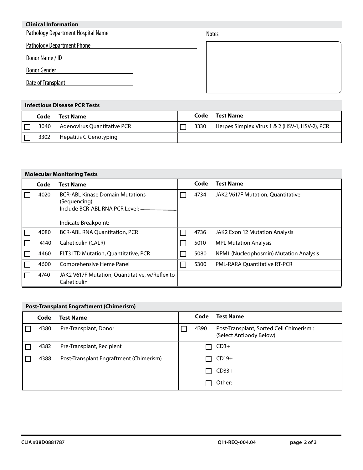| <b>Clinical Information</b>               |              |  |  |  |  |
|-------------------------------------------|--------------|--|--|--|--|
| <b>Pathology Department Hospital Name</b> | <b>Notes</b> |  |  |  |  |
| <b>Pathology Department Phone</b>         |              |  |  |  |  |
| Donor Name / ID                           |              |  |  |  |  |
| <b>Donor Gender</b>                       |              |  |  |  |  |
| Date of Transplant                        |              |  |  |  |  |

#### **Infectious Disease PCR Tests**

| Code | <b>Test Name</b>            | Code | Test Name                                      |
|------|-----------------------------|------|------------------------------------------------|
| 3040 | Adenovirus Quantitative PCR | 3330 | Herpes Simplex Virus 1 & 2 (HSV-1, HSV-2), PCR |
| 3302 | Hepatitis C Genotyping      |      |                                                |

### **Molecular Monitoring Tests**

| Code | <b>Test Name</b>                                                                                                   | Code | <b>Test Name</b>                       |
|------|--------------------------------------------------------------------------------------------------------------------|------|----------------------------------------|
| 4020 | <b>BCR-ABL Kinase Domain Mutations</b><br>(Sequencing)<br>Include BCR-ABL RNA PCR Level: -<br>Indicate Breakpoint: | 4734 | JAK2 V617F Mutation, Quantitative      |
|      |                                                                                                                    |      |                                        |
| 4080 | <b>BCR-ABL RNA Quantitation, PCR</b>                                                                               | 4736 | JAK2 Exon 12 Mutation Analysis         |
| 4140 | Calreticulin (CALR)                                                                                                | 5010 | <b>MPL Mutation Analysis</b>           |
| 4460 | FLT3 ITD Mutation, Quantitative, PCR                                                                               | 5080 | NPM1 (Nucleophosmin) Mutation Analysis |
| 4600 | Comprehensive Heme Panel                                                                                           | 5300 | PML-RARA Quantitative RT-PCR           |
| 4740 | JAK2 V617F Mutation, Quantitative, w/Reflex to<br>Calreticulin                                                     |      |                                        |

### **Post-Transplant Engraftment (Chimerism)**

| Code | <b>Test Name</b>                        | Code | <b>Test Name</b>                                                   |
|------|-----------------------------------------|------|--------------------------------------------------------------------|
| 4380 | Pre-Transplant, Donor                   | 4390 | Post-Transplant, Sorted Cell Chimerism:<br>(Select Antibody Below) |
| 4382 | Pre-Transplant, Recipient               |      | $CD3+$                                                             |
| 4388 | Post-Transplant Engraftment (Chimerism) |      | $CD19+$                                                            |
|      |                                         |      | $CD33+$                                                            |
|      |                                         |      | Other:                                                             |